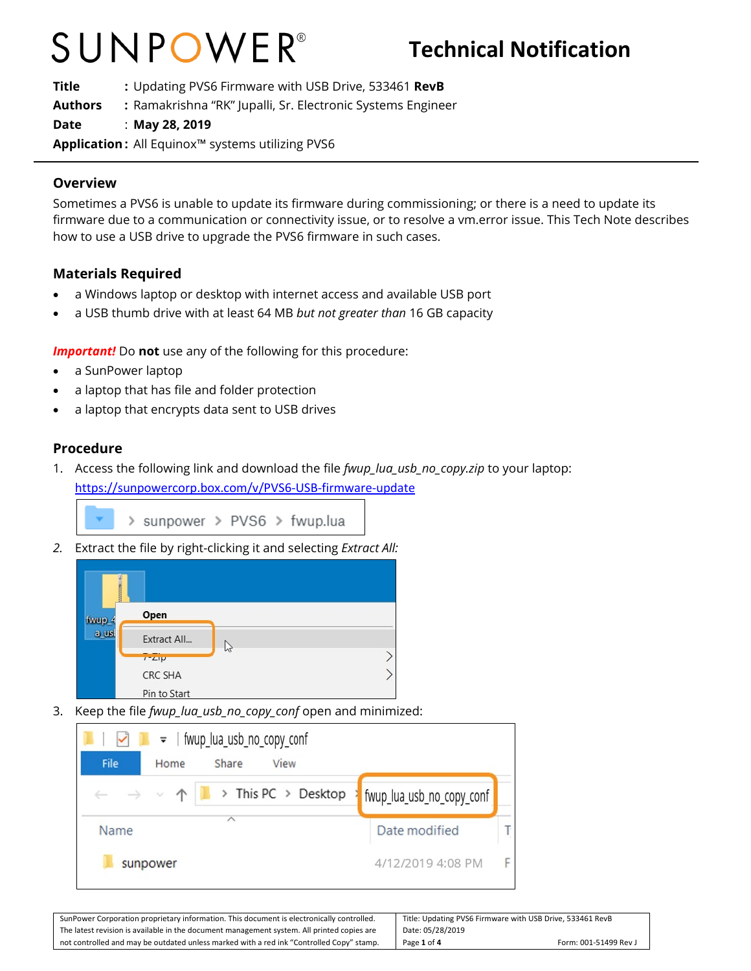## SUNPOWER®

**Title :** Updating PVS6 Firmware with USB Drive, 533461 **RevB Authors :** Ramakrishna "RK" Jupalli, Sr. Electronic Systems Engineer **Date** : **May 28, 2019 Application :** All Equinox™ systems utilizing PVS6

#### **Overview**

Sometimes a PVS6 is unable to update its firmware during commissioning; or there is a need to update its firmware due to a communication or connectivity issue, or to resolve a vm.error issue. This Tech Note describes how to use a USB drive to upgrade the PVS6 firmware in such cases.

### **Materials Required**

- a Windows laptop or desktop with internet access and available USB port
- a USB thumb drive with at least 64 MB *but not greater than* 16 GB capacity

**Important!** Do not use any of the following for this procedure:

- a SunPower laptop
- a laptop that has file and folder protection
- a laptop that encrypts data sent to USB drives

### **Procedure**

1. Access the following link and download the file *fwup\_lua\_usb\_no\_copy.zip* to your laptop: <https://sunpowercorp.box.com/v/PVS6-USB-firmware-update>

> sunpower > PVS6 > fwup.lua

*2.* Extract the file by right-clicking it and selecting *Extract All:*



3. Keep the file *fwup\_lua\_usb\_no\_copy\_conf* open and minimized:

| File | =   fwup_lua_usb_no_copy_conf<br>Share<br>View<br>Home                               |                           |   |
|------|--------------------------------------------------------------------------------------|---------------------------|---|
|      | $\triangleright$ This PC $\triangleright$ Desktop<br>$\rightarrow$ $\vee$ $\uparrow$ | fwup_lua_usb_no_copy_conf |   |
| Name |                                                                                      | Date modified             |   |
|      | sunpower                                                                             | 4/12/2019 4:08 PM         | F |

| SunPower Corporation proprietary information. This document is electronically controlled.  | Title: Updating PVS6 Firmware with USB Drive, 533461 RevB |  |
|--------------------------------------------------------------------------------------------|-----------------------------------------------------------|--|
| The latest revision is available in the document management system. All printed copies are | Date: 05/28/2019                                          |  |
| not controlled and may be outdated unless marked with a red ink "Controlled Copy" stamp.   | Page 1 of 4<br>Form: 001-51499 Rev J                      |  |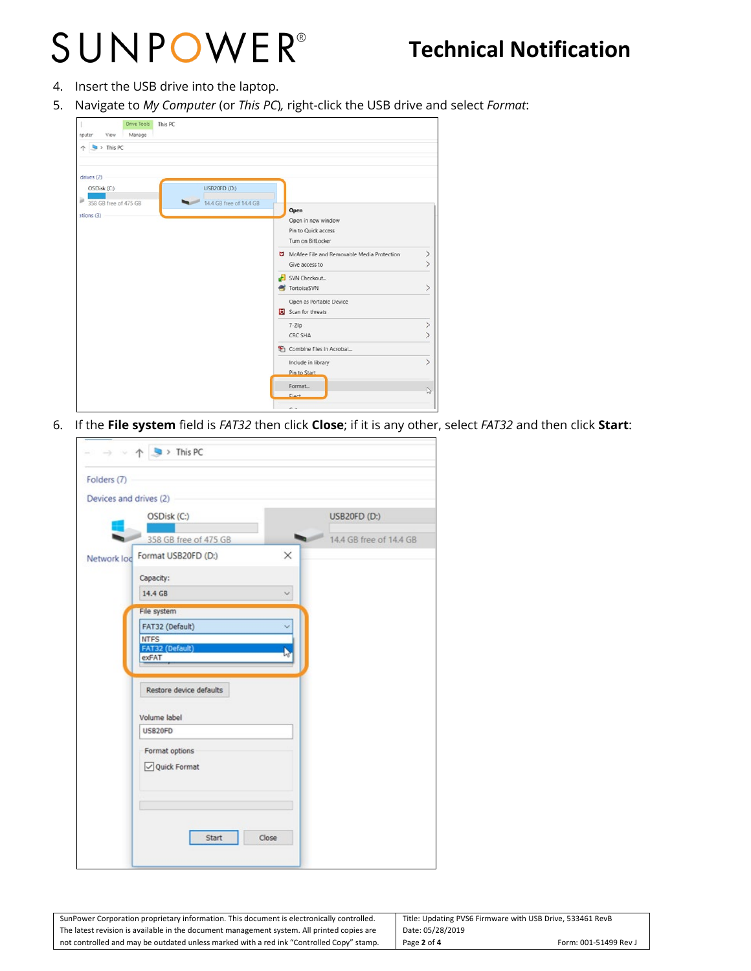## SUNPOWER®

### **Technical Notification**

- 4. Insert the USB drive into the laptop.
- 5. Navigate to *My Computer* (or *This PC*)*,* right-click the USB drive and select *Format*:

| Drive Tools<br>This PC<br>Manage<br>View<br>nputer |                                            |               |
|----------------------------------------------------|--------------------------------------------|---------------|
| $\blacktriangleright$ This PC                      |                                            |               |
| drives (2)                                         |                                            |               |
| OSDisk (C:)<br>Þ                                   | USB20FD (D:)                               |               |
| 358 GB free of 475 GB                              | 14.4 GB free of 14.4 GB<br>Open            |               |
| $ations (3)$                                       | Open in new window                         |               |
|                                                    | Pin to Quick access                        |               |
|                                                    | Turn on BitLocker                          |               |
|                                                    | McAfee File and Removable Media Protection | $\rightarrow$ |
|                                                    | Give access to                             | ⋋             |
|                                                    | SVN Checkout                               |               |
|                                                    | TortoiseSVN                                |               |
|                                                    | Open as Portable Device                    |               |
|                                                    | Scan for threats                           |               |
|                                                    | 7-Zip                                      |               |
|                                                    | <b>CRC SHA</b>                             |               |
|                                                    | Combine files in Acrobat                   |               |
|                                                    | Include in library                         |               |
|                                                    | Pin to Start                               |               |
|                                                    | Format                                     |               |
|                                                    | Fiert                                      | L)            |
|                                                    | $\sim$                                     |               |

6. If the **File system** field is *FAT32* then click **Close**; if it is any other, select *FAT32* and then click **Start**:

| Folders (7) |                                |                         |
|-------------|--------------------------------|-------------------------|
|             |                                |                         |
|             | Devices and drives (2)         |                         |
|             | OSDisk (C:)                    | <b>USB20FD (D:)</b>     |
|             | 358 GB free of 475 GB          | 14.4 GB free of 14.4 GB |
| Network lod | Format USB20FD (D:)            | $\times$                |
|             | Capacity:                      |                         |
|             | 14.4 GB                        |                         |
|             | File system                    |                         |
|             | FAT32 (Default)                |                         |
|             | <b>NTFS</b><br>FAT32 (Default) |                         |
|             | exFAT                          |                         |
|             | Restore device defaults        |                         |
|             | Volume label                   |                         |
|             | USB20FD                        |                         |
|             | Format options                 |                         |
|             | Quick Format                   |                         |
|             | Start                          | Close                   |

| SunPower Corporation proprietary information. This document is electronically controlled.  | Title: Updating PVS6 Firmware with USB Drive, 533461 RevB |                       |
|--------------------------------------------------------------------------------------------|-----------------------------------------------------------|-----------------------|
| The latest revision is available in the document management system. All printed copies are | Date: 05/28/2019                                          |                       |
| not controlled and may be outdated unless marked with a red ink "Controlled Copy" stamp.   | Page 2 of 4                                               | Form: 001-51499 Rev J |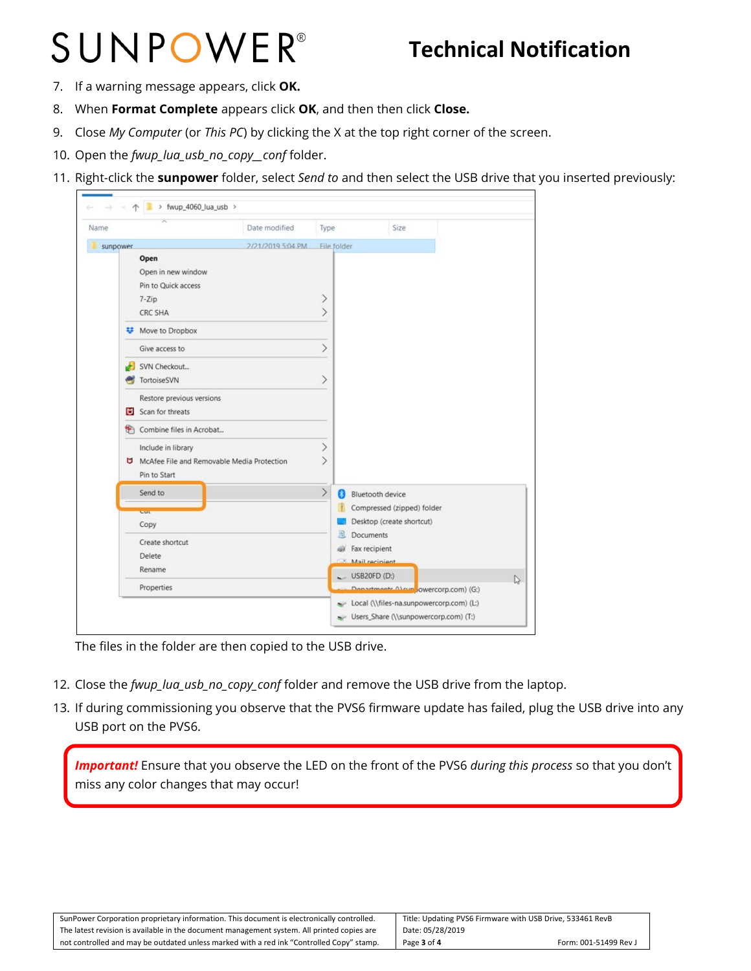# SUNPOWER®

### **Technical Notification**

- 7. If a warning message appears, click **OK.**
- 8. When **Format Complete** appears click **OK**, and then then click **Close.**
- 9. Close *My Computer* (or *This PC*) by clicking the X at the top right corner of the screen.
- 10. Open the *fwup\_lua\_usb\_no\_copy\_\_conf* folder.
- 11. Right-click the **sunpower** folder, select *Send to* and then select the USB drive that you inserted previously:

| Name                                                                                                                                                                                                                                                                                                                       | Date modified     | Type              | Size                                                                                                                                                                                       |    |
|----------------------------------------------------------------------------------------------------------------------------------------------------------------------------------------------------------------------------------------------------------------------------------------------------------------------------|-------------------|-------------------|--------------------------------------------------------------------------------------------------------------------------------------------------------------------------------------------|----|
| sunpower                                                                                                                                                                                                                                                                                                                   | 2/21/2019 5:04 PM | File folder       |                                                                                                                                                                                            |    |
| Open<br>Open in new window<br>Pin to Quick access<br>$7 - Zip$<br>CRC SHA<br>Move to Dropbox<br>Give access to<br>SVN Checkout<br><b>TortoiseSVN</b><br>Restore previous versions<br>Scan for threats<br>Combine files in Acrobat<br>۳<br>Include in library<br>McAfee File and Removable Media Protection<br>Pin to Start |                   | ><br>⋋<br>↘<br>↗  |                                                                                                                                                                                            |    |
| Send to<br>eue<br>Copy<br>Create shortcut<br>Delete<br>Rename<br>Properties                                                                                                                                                                                                                                                |                   | $\,>\,$<br>8<br>周 | Bluetooth device<br>Compressed (zipped) folder<br>Desktop (create shortcut)<br>Documents<br>Fax recipient<br>Mail recinient<br>$\cup$ USB20FD (D:)<br>Departments Alsun owercorp.com) (G:) | r, |

The files in the folder are then copied to the USB drive.

- 12. Close the *fwup\_lua\_usb\_no\_copy\_conf* folder and remove the USB drive from the laptop.
- 13. If during commissioning you observe that the PVS6 firmware update has failed, plug the USB drive into any USB port on the PVS6.

*Important!* Ensure that you observe the LED on the front of the PVS6 *during this process* so that you don't miss any color changes that may occur!

| SunPower Corporation proprietary information. This document is electronically controlled.  | Title: Updating PVS6 Firmware with USB Drive, 533461 RevB |                       |
|--------------------------------------------------------------------------------------------|-----------------------------------------------------------|-----------------------|
| The latest revision is available in the document management system. All printed copies are | Date: 05/28/2019                                          |                       |
| not controlled and may be outdated unless marked with a red ink "Controlled Copy" stamp.   | Page 3 of 4                                               | Form: 001-51499 Rev J |